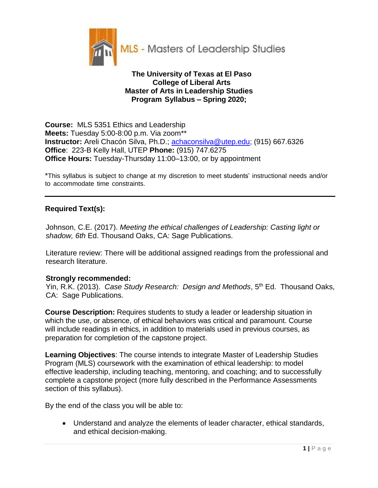

## **The University of Texas at El Paso College of Liberal Arts Master of Arts in Leadership Studies Program Syllabus – Spring 2020;**

**Course:** MLS 5351 Ethics and Leadership **Meets:** Tuesday 5:00-8:00 p.m. Via zoom\*\* **Instructor:** Areli Chacón Silva, Ph.D.; achaconsilva@utep.edu; (915) 667.6326 **Office**: 223-B Kelly Hall, UTEP **Phone:** (915) 747.6275 **Office Hours:** Tuesday-Thursday 11:00–13:00, or by appointment

\*This syllabus is subject to change at my discretion to meet students' instructional needs and/or to accommodate time constraints.

## **Required Text(s):**

Johnson, C.E. (2017). *Meeting the ethical challenges of Leadership: Casting light or shadow, 6th* Ed. Thousand Oaks, CA: Sage Publications.

Literature review: There will be additional assigned readings from the professional and research literature.

## **Strongly recommended:**

Yin, R.K. (2013). Case Study Research: Design and Methods, 5<sup>th</sup> Ed. Thousand Oaks, CA: Sage Publications.

**Course Description:** Requires students to study a leader or leadership situation in which the use, or absence, of ethical behaviors was critical and paramount. Course will include readings in ethics, in addition to materials used in previous courses, as preparation for completion of the capstone project.

**Learning Objectives**: The course intends to integrate Master of Leadership Studies Program (MLS) coursework with the examination of ethical leadership: to model effective leadership, including teaching, mentoring, and coaching; and to successfully complete a capstone project (more fully described in the Performance Assessments section of this syllabus).

By the end of the class you will be able to:

 Understand and analyze the elements of leader character, ethical standards, and ethical decision-making.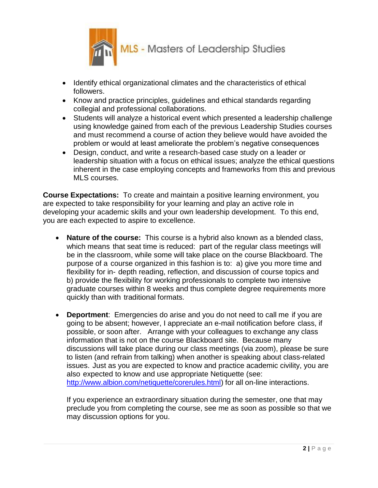

- Identify ethical organizational climates and the characteristics of ethical followers.
- Know and practice principles, guidelines and ethical standards regarding collegial and professional collaborations.
- Students will analyze a historical event which presented a leadership challenge using knowledge gained from each of the previous Leadership Studies courses and must recommend a course of action they believe would have avoided the problem or would at least ameliorate the problem's negative consequences
- Design, conduct, and write a research-based case study on a leader or leadership situation with a focus on ethical issues; analyze the ethical questions inherent in the case employing concepts and frameworks from this and previous MLS courses.

**Course Expectations:** To create and maintain a positive learning environment, you are expected to take responsibility for your learning and play an active role in developing your academic skills and your own leadership development. To this end, you are each expected to aspire to excellence.

- **Nature of the course:** This course is a hybrid also known as a blended class, which means that seat time is reduced: part of the regular class meetings will be in the classroom, while some will take place on the course Blackboard. The purpose of a course organized in this fashion is to: a) give you more time and flexibility for in- depth reading, reflection, and discussion of course topics and b) provide the flexibility for working professionals to complete two intensive graduate courses within 8 weeks and thus complete degree requirements more quickly than with traditional formats.
- **Deportment**: Emergencies do arise and you do not need to call me if you are going to be absent; however, I appreciate an e-mail notification before class, if possible, or soon after. Arrange with your colleagues to exchange any class information that is not on the course Blackboard site. Because many discussions will take place during our class meetings (via zoom), please be sure to listen (and refrain from talking) when another is speaking about class-related issues. Just as you are expected to know and practice academic civility, you are also expected to know and use appropriate Netiquette (see: [http://www.albion.com/netiquette/corerules.html\)](http://www.albion.com/netiquette/corerules.html)) for all on-line interactions.

If you experience an extraordinary situation during the semester, one that may preclude you from completing the course, see me as soon as possible so that we may discussion options for you.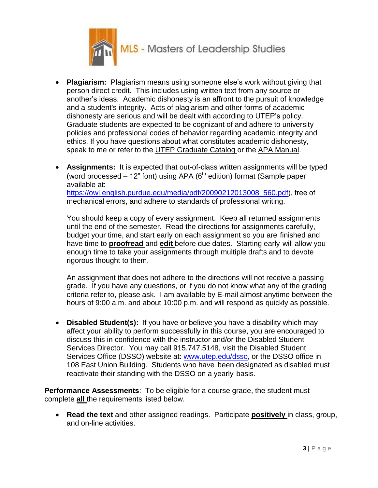

- **Plagiarism:** Plagiarism means using someone else's work without giving that person direct credit. This includes using written text from any source or another's ideas. Academic dishonesty is an affront to the pursuit of knowledge and a student's integrity. Acts of plagiarism and other forms of academic dishonesty are serious and will be dealt with according to UTEP's policy. Graduate students are expected to be cognizant of and adhere to university policies and professional codes of behavior regarding academic integrity and ethics. If you have questions about what constitutes academic dishonesty, speak to me or refer to the UTEP Graduate Catalog or the APA Manual.
- **Assignments:** It is expected that out-of-class written assignments will be typed (word processed  $-12$ " font) using APA ( $6<sup>th</sup>$  edition) format (Sample paper available at: https://owl.english.purdue.edu/media/pdf/20090212013008\_560.pdf), free of mechanical errors, and adhere to standards of professional writing.

You should keep a copy of every assignment. Keep all returned assignments until the end of the semester. Read the directions for assignments carefully, budget your time, and start early on each assignment so you are finished and have time to **proofread** and **edit** before due dates. Starting early will allow you enough time to take your assignments through multiple drafts and to devote rigorous thought to them.

An assignment that does not adhere to the directions will not receive a passing grade. If you have any questions, or if you do not know what any of the grading criteria refer to, please ask. I am available by E-mail almost anytime between the hours of 9:00 a.m. and about 10:00 p.m. and will respond as quickly as possible.

 **Disabled Student(s):** If you have or believe you have a disability which may affect your ability to perform successfully in this course, you are encouraged to discuss this in confidence with the instructor and/or the Disabled Student Services Director. You may call 915.747.5148, visit the Disabled Student Services Office (DSSO) website at: [www.utep.edu/dsso,](http://www.utep.edu/dsso) or the DSSO office in 108 East Union Building. Students who have been designated as disabled must reactivate their standing with the DSSO on a yearly basis.

**Performance Assessments**: To be eligible for a course grade, the student must complete **all** the requirements listed below.

 **Read the text** and other assigned readings. Participate **positively** in class, group, and on-line activities.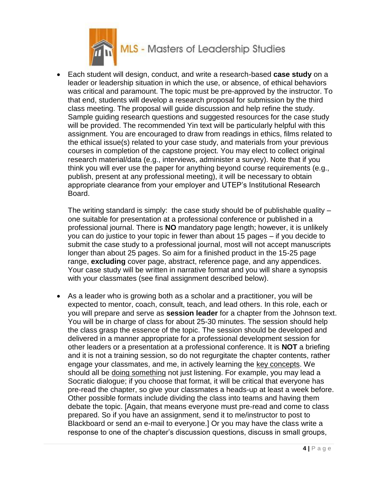

 Each student will design, conduct, and write a research-based **case study** on a leader or leadership situation in which the use, or absence, of ethical behaviors was critical and paramount. The topic must be pre-approved by the instructor. To that end, students will develop a research proposal for submission by the third class meeting. The proposal will guide discussion and help refine the study. Sample guiding research questions and suggested resources for the case study will be provided. The recommended Yin text will be particularly helpful with this assignment. You are encouraged to draw from readings in ethics, films related to the ethical issue(s) related to your case study, and materials from your previous courses in completion of the capstone project. You may elect to collect original research material/data (e.g., interviews, administer a survey). Note that if you think you will ever use the paper for anything beyond course requirements (e.g., publish, present at any professional meeting), it will be necessary to obtain appropriate clearance from your employer and UTEP's Institutional Research Board.

The writing standard is simply: the case study should be of publishable quality – one suitable for presentation at a professional conference or published in a professional journal. There is **NO** mandatory page length; however, it is unlikely you can do justice to your topic in fewer than about 15 pages – if you decide to submit the case study to a professional journal, most will not accept manuscripts longer than about 25 pages. So aim for a finished product in the 15-25 page range, **excluding** cover page, abstract, reference page, and any appendices. Your case study will be written in narrative format and you will share a synopsis with your classmates (see final assignment described below).

 As a leader who is growing both as a scholar and a practitioner, you will be expected to mentor, coach, consult, teach, and lead others. In this role, each or you will prepare and serve as **session leader** for a chapter from the Johnson text. You will be in charge of class for about 25-30 minutes. The session should help the class grasp the essence of the topic. The session should be developed and delivered in a manner appropriate for a professional development session for other leaders or a presentation at a professional conference. It is **NOT** a briefing and it is not a training session, so do not regurgitate the chapter contents, rather engage your classmates, and me, in actively learning the key concepts. We should all be doing something not just listening. For example, you may lead a Socratic dialogue; if you choose that format, it will be critical that everyone has pre-read the chapter, so give your classmates a heads-up at least a week before. Other possible formats include dividing the class into teams and having them debate the topic. [Again, that means everyone must pre-read and come to class prepared. So if you have an assignment, send it to me/instructor to post to Blackboard or send an e-mail to everyone.] Or you may have the class write a response to one of the chapter's discussion questions, discuss in small groups,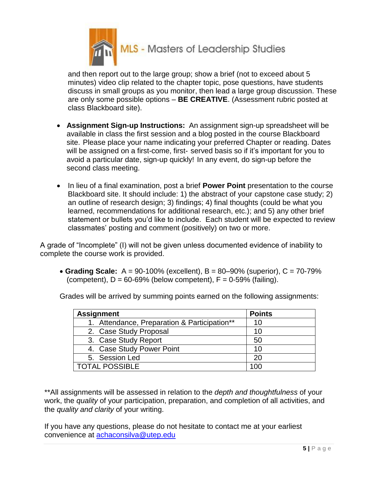

and then report out to the large group; show a brief (not to exceed about 5 minutes) video clip related to the chapter topic, pose questions, have students discuss in small groups as you monitor, then lead a large group discussion. These are only some possible options – **BE CREATIVE**. (Assessment rubric posted at class Blackboard site).

- **Assignment Sign-up Instructions:** An assignment sign-up spreadsheet will be available in class the first session and a blog posted in the course Blackboard site. Please place your name indicating your preferred Chapter or reading. Dates will be assigned on a first-come, first- served basis so if it's important for you to avoid a particular date, sign-up quickly! In any event, do sign-up before the second class meeting.
- In lieu of a final examination, post a brief **Power Point** presentation to the course Blackboard site. It should include: 1) the abstract of your capstone case study; 2) an outline of research design; 3) findings; 4) final thoughts (could be what you learned, recommendations for additional research, etc.); and 5) any other brief statement or bullets you'd like to include. Each student will be expected to review classmates' posting and comment (positively) on two or more.

A grade of "Incomplete" (I) will not be given unless documented evidence of inability to complete the course work is provided.

 **Grading Scale:** A = 90-100% (excellent), B = 80–90% (superior), C = 70-79% (competent),  $D = 60-69\%$  (below competent),  $F = 0-59\%$  (failing).

| <b>Assignment</b>                            | <b>Points</b> |
|----------------------------------------------|---------------|
| 1. Attendance, Preparation & Participation** | 10            |
| 2. Case Study Proposal                       | 10            |
| 3. Case Study Report                         | 50            |
| 4. Case Study Power Point                    | 10            |
| 5. Session Led                               | 20            |
| <b>TOTAL POSSIBLE</b>                        | 100           |

Grades will be arrived by summing points earned on the following assignments:

\*\*All assignments will be assessed in relation to the *depth and thoughtfulness* of your work, the *quality* of your participation, preparation, and completion of all activities, and the *quality and clarity* of your writing.

If you have any questions, please do not hesitate to contact me at your earliest convenience at [achaconsilva@utep.edu](mailto:achaconsilva@utep.edu)